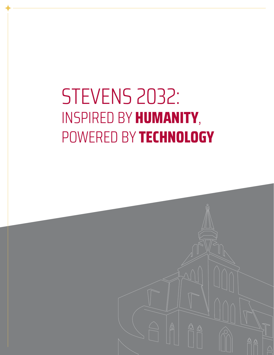# STEVENS 2032: INSPIRED BY **HUMANITY**, POWERED BY **TECHNOLOGY**

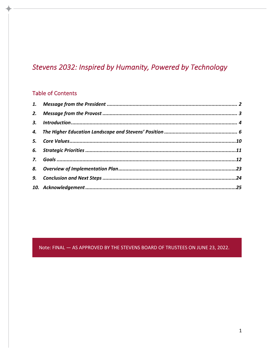# Stevens 2032: Inspired by Humanity, Powered by Technology

## **Table of Contents**

Note: FINAL - AS APPROVED BY THE STEVENS BOARD OF TRUSTEES ON JUNE 23, 2022.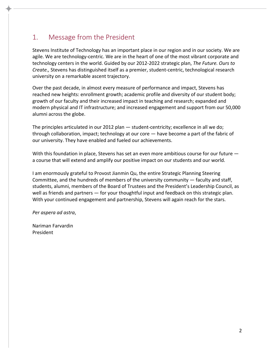# <span id="page-2-0"></span>1. Message from the President

Stevens Institute of Technology has an important place in our region and in our society. We are agile. We are technology-centric. We are in the heart of one of the most vibrant corporate and technology centers in the world. Guided by our 2012-2022 strategic plan, *The Future. Ours to Create.,* Stevens has distinguished itself as a premier, student-centric, technological research university on a remarkable ascent trajectory.

Over the past decade, in almost every measure of performance and impact, Stevens has reached new heights: enrollment growth; academic profile and diversity of our student body; growth of our faculty and their increased impact in teaching and research; expanded and modern physical and IT infrastructure; and increased engagement and support from our 50,000 alumni across the globe.

The principles articulated in our 2012 plan — student-centricity; excellence in all we do; through collaboration, impact; technology at our core — have become a part of the fabric of our university. They have enabled and fueled our achievements.

With this foundation in place, Stevens has set an even more ambitious course for our future  $$ a course that will extend and amplify our positive impact on our students and our world.

I am enormously grateful to Provost Jianmin Qu, the entire Strategic Planning Steering Committee, and the hundreds of members of the university community — faculty and staff, students, alumni, members of the Board of Trustees and the President's Leadership Council, as well as friends and partners — for your thoughtful input and feedback on this strategic plan. With your continued engagement and partnership, Stevens will again reach for the stars.

*Per aspera ad astra*,

Nariman Farvardin President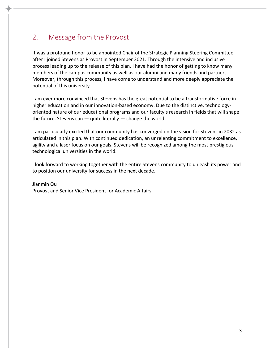# <span id="page-3-0"></span>2. Message from the Provost

It was a profound honor to be appointed Chair of the Strategic Planning Steering Committee after I joined Stevens as Provost in September 2021. Through the intensive and inclusive process leading up to the release of this plan, I have had the honor of getting to know many members of the campus community as well as our alumni and many friends and partners. Moreover, through this process, I have come to understand and more deeply appreciate the potential of this university.

I am ever more convinced that Stevens has the great potential to be a transformative force in higher education and in our innovation-based economy. Due to the distinctive, technologyoriented nature of our educational programs and our faculty's research in fields that will shape the future, Stevens can  $-$  quite literally  $-$  change the world.

I am particularly excited that our community has converged on the vision for Stevens in 2032 as articulated in this plan. With continued dedication, an unrelenting commitment to excellence, agility and a laser focus on our goals, Stevens will be recognized among the most prestigious technological universities in the world.

I look forward to working together with the entire Stevens community to unleash its power and to position our university for success in the next decade.

Jianmin Qu Provost and Senior Vice President for Academic Affairs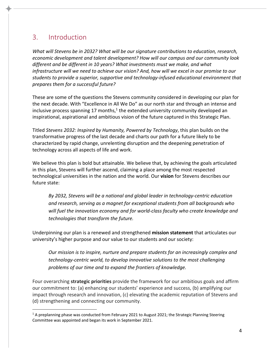# <span id="page-4-0"></span>3. Introduction

*What will Stevens be in 2032? What will be our signature contributions to education, research, economic development and talent development? How will our campus and our community look different and be different in 10 years? What investments must we make, and what infrastructure will we need to achieve our vision? And, how will we excel in our promise to our students to provide a superior, supportive and technology-infused educational environment that prepares them for a successful future?*

These are some of the questions the Stevens community considered in developing our plan for the next decade. With "Excellence in All We Do" as our north star and through an intense and inclusive process spanning 17 months, $<sup>1</sup>$  the extended university community developed an</sup> inspirational, aspirational and ambitious vision of the future captured in this Strategic Plan.

Titled *Stevens 2032: Inspired by Humanity, Powered by Technology*, this plan builds on the transformative progress of the last decade and charts our path for a future likely to be characterized by rapid change, unrelenting disruption and the deepening penetration of technology across all aspects of life and work.

We believe this plan is bold but attainable. We believe that, by achieving the goals articulated in this plan, Stevens will further ascend, claiming a place among the most respected technological universities in the nation and the world. Our **vision** for Stevens describes our future state:

*By 2032, Stevens will be a national and global leader in technology-centric education and research, serving as a magnet for exceptional students from all backgrounds who will fuel the innovation economy and for world-class faculty who create knowledge and technologies that transform the future.* 

Underpinning our plan is a renewed and strengthened **mission statement** that articulates our university's higher purpose and our value to our students and our society:

*Our mission is to inspire, nurture and prepare students for an increasingly complex and technology-centric world, to develop innovative solutions to the most challenging problems of our time and to expand the frontiers of knowledge.*

Four overarching **strategic priorities** provide the framework for our ambitious goals and affirm our commitment to: (a) enhancing our students' experience and success, (b) amplifying our impact through research and innovation, (c) elevating the academic reputation of Stevens and (d) strengthening and connecting our community.

 $1$  A preplanning phase was conducted from February 2021 to August 2021; the Strategic Planning Steering Committee was appointed and began its work in September 2021.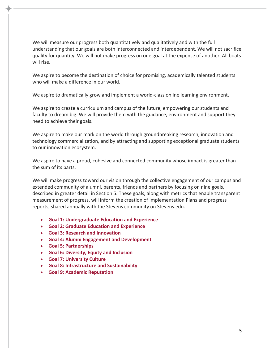We will measure our progress both quantitatively and qualitatively and with the full understanding that our goals are both interconnected and interdependent. We will not sacrifice quality for quantity. We will not make progress on one goal at the expense of another. All boats will rise.

We aspire to become the destination of choice for promising, academically talented students who will make a difference in our world.

We aspire to dramatically grow and implement a world-class online learning environment.

We aspire to create a curriculum and campus of the future, empowering our students and faculty to dream big. We will provide them with the guidance, environment and support they need to achieve their goals.

We aspire to make our mark on the world through groundbreaking research, innovation and technology commercialization, and by attracting and supporting exceptional graduate students to our innovation ecosystem.

We aspire to have a proud, cohesive and connected community whose impact is greater than the sum of its parts.

We will make progress toward our vision through the collective engagement of our campus and extended community of alumni, parents, friends and partners by focusing on nine goals, described in greater detail in Section 5. These goals, along with metrics that enable transparent measurement of progress, will inform the creation of Implementation Plans and progress reports, shared annually with the Stevens community on Stevens.edu.

- **Goal 1: Undergraduate Education and Experience**
- **Goal 2: Graduate Education and Experience**
- **Goal 3: Research and Innovation**
- **Goal 4: Alumni Engagement and Development**
- **Goal 5: Partnerships**
- **Goal 6: Diversity, Equity and Inclusion**
- **Goal 7: University Culture**
- **Goal 8: Infrastructure and Sustainability**
- **Goal 9: Academic Reputation**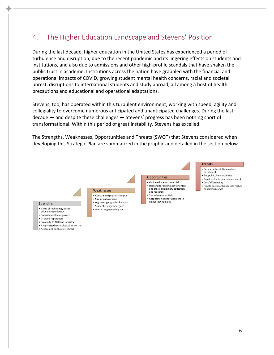# <span id="page-6-0"></span>4. The Higher Education Landscape and Stevens' Position

During the last decade, higher education in the United States has experienced a period of turbulence and disruption, due to the recent pandemic and its lingering effects on students and institutions, and also due to admissions and other high-profile scandals that have shaken the public trust in academe. Institutions across the nation have grappled with the financial and operational impacts of COVID, growing student mental health concerns, racial and societal unrest, disruptions to international students and study abroad, all among a host of health precautions and educational and operational adaptations.

Stevens, too, has operated within this turbulent environment, working with speed, agility and collegiality to overcome numerous anticipated and unanticipated challenges. During the last decade — and despite these challenges — Stevens' progress has been nothing short of transformational. Within this period of great instability, Stevens has excelled.

The Strengths, Weaknesses, Opportunities and Threats (SWOT) that Stevens considered when developing this Strategic Plan are summarized in the graphic and detailed in the section below.



- Growing reputation
- 
- . Proximity to NYC and industry
- · A right-sized technological university · Accomplished alumni network

6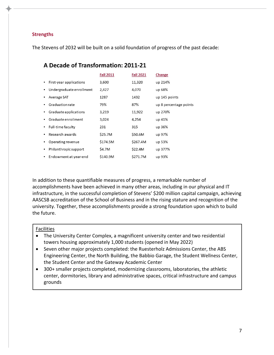#### **Strengths**

The Stevens of 2032 will be built on a solid foundation of progress of the past decade:

| A Decade of Transformation: 2011-21 |                  |                  |                        |  |
|-------------------------------------|------------------|------------------|------------------------|--|
|                                     | <b>Fall 2011</b> | <b>Fall 2021</b> | Change                 |  |
| First-year applications             | 3,600            | 11,320           | up 214%                |  |
| Undergraduate enrollment<br>٠       | 2,427            | 4,070            | up 68%                 |  |
| Average SAT                         | 1287             | 1432             | up 145 points          |  |
| Graduation rate                     | 79%              | 87%              | up 8 percentage points |  |
| Graduate applications               | 3,219            | 11,922           | up 270%                |  |
| Graduate enrollment                 | 3,024            | 4,254            | up 41%                 |  |
| Full-time faculty<br>٠              | 231              | 315              | up 36%                 |  |
| Research awards                     | \$25.7M          | \$50.6M          | up 97%                 |  |
| Operating revenue                   | \$174.5M         | \$267.4M         | up 53%                 |  |
| Philanthropic support<br>٠          | \$4.7M           | \$22.4M          | up 377%                |  |
| Endowment at year-end<br>٠          | \$140.9M         | \$271.7M         | up 93%                 |  |

In addition to these quantifiable measures of progress, a remarkable number of accomplishments have been achieved in many other areas, including in our physical and IT infrastructure, in the successful completion of Stevens' \$200 million capital campaign, achieving AASCSB accreditation of the School of Business and in the rising stature and recognition of the university. Together, these accomplishments provide a strong foundation upon which to build the future.

#### Facilities

- The University Center Complex, a magnificent university center and two residential towers housing approximately 1,000 students (opened in May 2022)
- Seven other major projects completed: the Ruesterholz Admissions Center, the ABS Engineering Center, the North Building, the Babbio Garage, the Student Wellness Center, the Student Center and the Gateway Academic Center
- 300+ smaller projects completed, modernizing classrooms, laboratories, the athletic center, dormitories, library and administrative spaces, critical infrastructure and campus grounds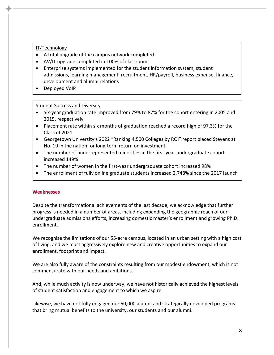#### IT/Technology

- A total upgrade of the campus network completed
- AV/IT upgrade completed in 100% of classrooms
- Enterprise systems implemented for the student information system, student admissions, learning management, recruitment, HR/payroll, business expense, finance, development and alumni relations
- Deployed VoIP

#### Student Success and Diversity

- Six-year graduation rate improved from 79% to 87% for the cohort entering in 2005 and 2015, respectively
- Placement rate within six months of graduation reached a record high of 97.3% for the Class of 2021
- Georgetown University's 2022 "Ranking 4,500 Colleges by ROI" report placed Stevens at No. 19 in the nation for long-term return on investment
- The number of underrepresented minorities in the first-year undergraduate cohort increased 149%
- The number of women in the first-year undergraduate cohort increased 98%
- The enrollment of fully online graduate students increased 2,748% since the 2017 launch

#### **Weaknesses**

Despite the transformational achievements of the last decade, we acknowledge that further progress is needed in a number of areas, including expanding the geographic reach of our undergraduate admissions efforts, increasing domestic master's enrollment and growing Ph.D. enrollment.

We recognize the limitations of our 55-acre campus, located in an urban setting with a high cost of living, and we must aggressively explore new and creative opportunities to expand our enrollment, footprint and impact.

We are also fully aware of the constraints resulting from our modest endowment, which is not commensurate with our needs and ambitions.

And, while much activity is now underway, we have not historically achieved the highest levels of student satisfaction and engagement to which we aspire.

Likewise, we have not fully engaged our 50,000 alumni and strategically developed programs that bring mutual benefits to the university, our students and our alumni.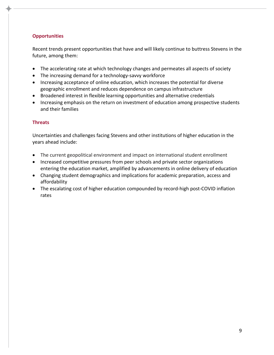## **Opportunities**

Recent trends present opportunities that have and will likely continue to buttress Stevens in the future, among them:

- The accelerating rate at which technology changes and permeates all aspects of society
- The increasing demand for a technology-savvy workforce
- Increasing acceptance of online education, which increases the potential for diverse geographic enrollment and reduces dependence on campus infrastructure
- Broadened interest in flexible learning opportunities and alternative credentials
- Increasing emphasis on the return on investment of education among prospective students and their families

## **Threats**

Uncertainties and challenges facing Stevens and other institutions of higher education in the years ahead include:

- The current geopolitical environment and impact on international student enrollment
- Increased competitive pressures from peer schools and private sector organizations entering the education market, amplified by advancements in online delivery of education
- Changing student demographics and implications for academic preparation, access and affordability
- The escalating cost of higher education compounded by record-high post-COVID inflation rates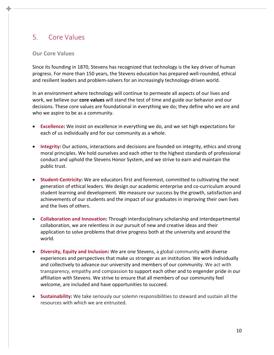# <span id="page-10-0"></span>5. Core Values

#### **Our Core Values**

Since its founding in 1870, Stevens has recognized that technology is the key driver of human progress. For more than 150 years, the Stevens education has prepared well-rounded, ethical and resilient leaders and problem-solvers for an increasingly technology-driven world.

In an environment where technology will continue to permeate all aspects of our lives and work, we believe our **core values** will stand the test of time and guide our behavior and our decisions. These core values are foundational in everything we do; they define who we are and who we aspire to be as a community.

- **Excellence:** We insist on excellence in everything we do, and we set high expectations for each of us individually and for our community as a whole.
- **Integrity:** Our actions, interactions and decisions are founded on integrity, ethics and strong moral principles. We hold ourselves and each other to the highest standards of professional conduct and uphold the Stevens Honor System, and we strive to earn and maintain the public trust.
- **Student-Centricity:** We are educators first and foremost, committed to cultivating the next generation of ethical leaders. We design our academic enterprise and co-curriculum around student learning and development. We measure our success by the growth, satisfaction and achievements of our students and the impact of our graduates in improving their own lives and the lives of others.
- **Collaboration and Innovation:** Through interdisciplinary scholarship and interdepartmental collaboration, we are relentless in our pursuit of new and creative ideas and their application to solve problems that drive progress both at the university and around the world.
- **Diversity, Equity and Inclusion:** We are one Stevens, a global community with diverse experiences and perspectives that make us stronger as an institution. We work individually and collectively to advance our university and members of our community. We act with transparency, empathy and compassion to support each other and to engender pride in our affiliation with Stevens. We strive to ensure that all members of our community feel welcome, are included and have opportunities to succeed.
- **Sustainability:** We take seriously our solemn responsibilities to steward and sustain all the resources with which we are entrusted.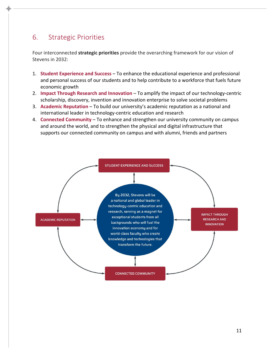# <span id="page-11-0"></span>6. Strategic Priorities

Four interconnected **strategic priorities** provide the overarching framework for our vision of Stevens in 2032:

- 1. **Student Experience and Success** To enhance the educational experience and professional and personal success of our students and to help contribute to a workforce that fuels future economic growth
- 2. **Impact Through Research and Innovation** To amplify the impact of our technology-centric scholarship, discovery, invention and innovation enterprise to solve societal problems
- 3. **Academic Reputation**  To build our university's academic reputation as a national and international leader in technology-centric education and research
- 4. **Connected Community** To enhance and strengthen our university community on campus and around the world, and to strengthen the physical and digital infrastructure that supports our connected community on campus and with alumni, friends and partners

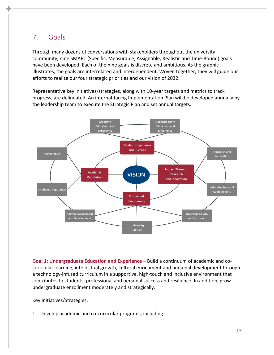# <span id="page-12-0"></span>7. Goals

Through many dozens of conversations with stakeholders throughout the university community, nine SMART (Specific, Measurable, Assignable, Realistic and Time-Bound) goals have been developed. Each of the nine goals is discrete and ambitious. As the graphic illustrates, the goals are interrelated and interdependent. Woven together, they will guide our efforts to realize our four strategic priorities and our vision of 2032.

Representative key initiatives/strategies, along with 10-year targets and metrics to track progress, are delineated. An internal-facing Implementation Plan will be developed annually by the leadership team to execute the Strategic Plan and set annual targets.



**Goal 1: Undergraduate Education and Experience** – Build a continuum of academic and cocurricular learning, intellectual growth, cultural enrichment and personal development through a technology-infused curriculum in a supportive, high-touch and inclusive environment that contributes to students' professional and personal success and resilience. In addition, grow undergraduate enrollment moderately and strategically.

Key Initiatives/Strategies:

1. Develop academic and co-curricular programs, including: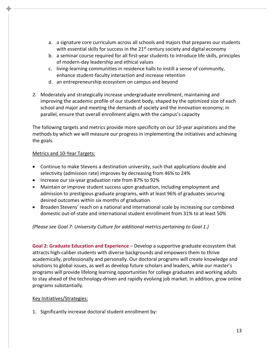- a. a signature core curriculum across all schools and majors that prepares our students with essential skills for success in the  $21<sup>st</sup>$  century society and digital economy
- b. a seminar course required for all first-year students to introduce life skills, principles of modern-day leadership and ethical values
- c. living-learning communities in residence halls to instill a sense of community, enhance student-faculty interaction and increase retention
- d. an entrepreneurship ecosystem on campus and beyond
- 2. Moderately and strategically increase undergraduate enrollment, maintaining and improving the academic profile of our student body, shaped by the optimized size of each school and major and meeting the demands of society and the innovation economy; in parallel, ensure that overall enrollment aligns with the campus's capacity

The following targets and metrics provide more specificity on our 10-year aspirations and the methods by which we will measure our progress in implementing the initiatives and achieving the goals.

#### Metrics and 10-Year Targets:

- Continue to make Stevens a destination university, such that applications double and selectivity (admission rate) improves by decreasing from 46% to 24%
- Increase our six-year graduation rate from 87% to 92%
- Maintain or improve student success upon graduation, including employment and admission to prestigious graduate programs, with at least 96% of graduates securing desired outcomes within six months of graduation
- Broaden Stevens' reach on a national and international scale by increasing our combined domestic out-of-state and international student enrollment from 31% to at least 50%

*(Please see Goal 7: University Culture for additional metrics pertaining to Goal 1.)*

**Goal 2: Graduate Education and Experience** – Develop a supportive graduate ecosystem that attracts high-caliber students with diverse backgrounds and empowers them to thrive academically, professionally and personally. Our doctoral programs will create knowledge and solutions to global issues, as well as develop future scholars and leaders, while our master's programs will provide lifelong learning opportunities for college graduates and working adults to stay ahead of the technology-driven and rapidly evolving job market. In addition, grow online programs substantially.

## Key Initiatives/Strategies:

1. Significantly increase doctoral student enrollment by: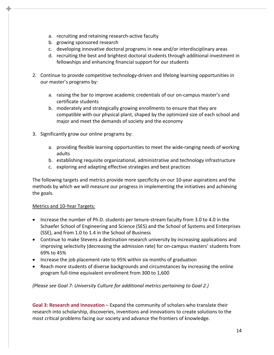- a. recruiting and retaining research-active faculty
- b. growing sponsored research
- c. developing innovative doctoral programs in new and/or interdisciplinary areas
- d. recruiting the best and brightest doctoral students through additional investment in fellowships and enhancing financial support for our students
- 2. Continue to provide competitive technology-driven and lifelong learning opportunities in our master's programs by:
	- a. raising the bar to improve academic credentials of our on-campus master's and certificate students
	- b. moderately and strategically growing enrollments to ensure that they are compatible with our physical plant, shaped by the optimized size of each school and major and meet the demands of society and the economy
- 3. Significantly grow our online programs by:
	- a. providing flexible learning opportunities to meet the wide-ranging needs of working adults
	- b. establishing requisite organizational, administrative and technology infrastructure
	- c. exploring and adapting effective strategies and best practices

The following targets and metrics provide more specificity on our 10-year aspirations and the methods by which we will measure our progress in implementing the initiatives and achieving the goals.

## Metrics and 10-Year Targets:

- Increase the number of Ph.D. students per tenure-stream faculty from 3.0 to 4.0 in the Schaefer School of Engineering and Science (SES) and the School of Systems and Enterprises (SSE), and from 1.0 to 1.4 in the School of Business
- Continue to make Stevens a destination research university by increasing applications and improving selectivity (decreasing the admission rate) for on-campus masters' students from 69% to 45%
- Increase the job placement rate to 95% within six months of graduation
- Reach more students of diverse backgrounds and circumstances by increasing the online program full-time equivalent enrollment from 300 to 1,600

*(Please see Goal 7: University Culture for additional metrics pertaining to Goal 2.)*

**Goal 3: Research and Innovation** – Expand the community of scholars who translate their research into scholarship, discoveries, inventions and innovations to create solutions to the most critical problems facing our society and advance the frontiers of knowledge.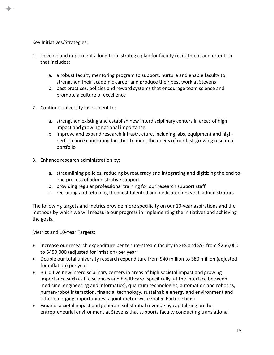## Key Initiatives/Strategies:

- 1. Develop and implement a long-term strategic plan for faculty recruitment and retention that includes:
	- a. a robust faculty mentoring program to support, nurture and enable faculty to strengthen their academic career and produce their best work at Stevens
	- b. best practices, policies and reward systems that encourage team science and promote a culture of excellence
- 2. Continue university investment to:
	- a. strengthen existing and establish new interdisciplinary centers in areas of high impact and growing national importance
	- b. improve and expand research infrastructure, including labs, equipment and highperformance computing facilities to meet the needs of our fast-growing research portfolio
- 3. Enhance research administration by:
	- a. streamlining policies, reducing bureaucracy and integrating and digitizing the end-toend process of administrative support
	- b. providing regular professional training for our research support staff
	- c. recruiting and retaining the most talented and dedicated research administrators

The following targets and metrics provide more specificity on our 10-year aspirations and the methods by which we will measure our progress in implementing the initiatives and achieving the goals.

## Metrics and 10-Year Targets:

- Increase our research expenditure per tenure-stream faculty in SES and SSE from \$266,000 to \$450,000 (adjusted for inflation) per year
- Double our total university research expenditure from \$40 million to \$80 million (adjusted for inflation) per year
- Build five new interdisciplinary centers in areas of high societal impact and growing importance such as life sciences and healthcare (specifically, at the interface between medicine, engineering and informatics), quantum technologies, automation and robotics, human-robot interaction, financial technology, sustainable energy and environment and other emerging opportunities (a joint metric with Goal 5: Partnerships)
- Expand societal impact and generate substantial revenue by capitalizing on the entrepreneurial environment at Stevens that supports faculty conducting translational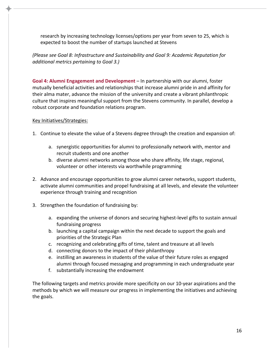research by increasing technology licenses/options per year from seven to 25, which is expected to boost the number of startups launched at Stevens

*(Please see Goal 8: Infrastructure and Sustainability and Goal 9: Academic Reputation for additional metrics pertaining to Goal 3.)*

**Goal 4: Alumni Engagement and Development** – In partnership with our alumni, foster mutually beneficial activities and relationships that increase alumni pride in and affinity for their alma mater, advance the mission of the university and create a vibrant philanthropic culture that inspires meaningful support from the Stevens community. In parallel, develop a robust corporate and foundation relations program.

#### Key Initiatives/Strategies:

- 1. Continue to elevate the value of a Stevens degree through the creation and expansion of:
	- a. synergistic opportunities for alumni to professionally network with, mentor and recruit students and one another
	- b. diverse alumni networks among those who share affinity, life stage, regional, volunteer or other interests via worthwhile programming
- 2. Advance and encourage opportunities to grow alumni career networks, support students, activate alumni communities and propel fundraising at all levels, and elevate the volunteer experience through training and recognition
- 3. Strengthen the foundation of fundraising by:
	- a. expanding the universe of donors and securing highest-level gifts to sustain annual fundraising progress
	- b. launching a capital campaign within the next decade to support the goals and priorities of the Strategic Plan
	- c. recognizing and celebrating gifts of time, talent and treasure at all levels
	- d. connecting donors to the impact of their philanthropy
	- e. instilling an awareness in students of the value of their future roles as engaged alumni through focused messaging and programming in each undergraduate year
	- f. substantially increasing the endowment

The following targets and metrics provide more specificity on our 10-year aspirations and the methods by which we will measure our progress in implementing the initiatives and achieving the goals.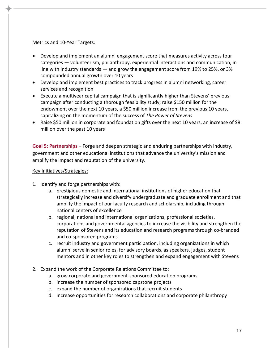#### Metrics and 10-Year Targets:

- Develop and implement an alumni engagement score that measures activity across four categories — volunteerism, philanthropy, experiential interactions and communication, in line with industry standards — and grow the engagement score from 19% to 25%, or 3% compounded annual growth over 10 years
- Develop and implement best practices to track progress in alumni networking, career services and recognition
- Execute a multiyear capital campaign that is significantly higher than Stevens' previous campaign after conducting a thorough feasibility study; raise \$150 million for the endowment over the next 10 years, a \$50 million increase from the previous 10 years, capitalizing on the momentum of the success of *The Power of Stevens*
- Raise \$50 million in corporate and foundation gifts over the next 10 years, an increase of \$8 million over the past 10 years

**Goal 5: Partnerships** – Forge and deepen strategic and enduring partnerships with industry, government and other educational institutions that advance the university's mission and amplify the impact and reputation of the university.

#### Key Initiatives/Strategies:

- 1. Identify and forge partnerships with:
	- a. prestigious domestic and international institutions of higher education that strategically increase and diversify undergraduate and graduate enrollment and that amplify the impact of our faculty research and scholarship, including through national centers of excellence
	- b. regional, national and international organizations, professional societies, corporations and governmental agencies to increase the visibility and strengthen the reputation of Stevens and its education and research programs through co-branded and co-sponsored programs
	- c. recruit industry and government participation, including organizations in which alumni serve in senior roles, for advisory boards, as speakers, judges, student mentors and in other key roles to strengthen and expand engagement with Stevens
- 2. Expand the work of the Corporate Relations Committee to:
	- a. grow corporate and government-sponsored education programs
	- b. increase the number of sponsored capstone projects
	- c. expand the number of organizations that recruit students
	- d. increase opportunities for research collaborations and corporate philanthropy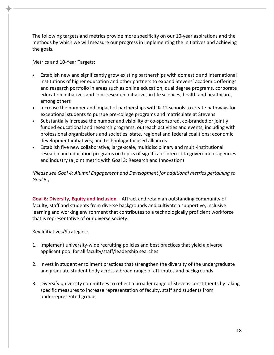The following targets and metrics provide more specificity on our 10-year aspirations and the methods by which we will measure our progress in implementing the initiatives and achieving the goals.

#### Metrics and 10-Year Targets:

- Establish new and significantly grow existing partnerships with domestic and international institutions of higher education and other partners to expand Stevens' academic offerings and research portfolio in areas such as online education, dual degree programs, corporate education initiatives and joint research initiatives in life sciences, health and healthcare, among others
- Increase the number and impact of partnerships with K-12 schools to create pathways for exceptional students to pursue pre-college programs and matriculate at Stevens
- Substantially increase the number and visibility of co-sponsored, co-branded or jointly funded educational and research programs, outreach activities and events, including with professional organizations and societies; state, regional and federal coalitions; economic development initiatives; and technology-focused alliances
- Establish five new collaborative, large-scale, multidisciplinary and multi-institutional research and education programs on topics of significant interest to government agencies and industry (a joint metric with Goal 3: Research and Innovation)

*(Please see Goal 4: Alumni Engagement and Development for additional metrics pertaining to Goal 5.)*

**Goal 6: Diversity, Equity and Inclusion** – Attract and retain an outstanding community of faculty, staff and students from diverse backgrounds and cultivate a supportive, inclusive learning and working environment that contributes to a technologically proficient workforce that is representative of our diverse society.

## Key Initiatives/Strategies:

- 1. Implement university-wide recruiting policies and best practices that yield a diverse applicant pool for all faculty/staff/leadership searches
- 2. Invest in student enrollment practices that strengthen the diversity of the undergraduate and graduate student body across a broad range of attributes and backgrounds
- 3. Diversify university committees to reflect a broader range of Stevens constituents by taking specific measures to increase representation of faculty, staff and students from underrepresented groups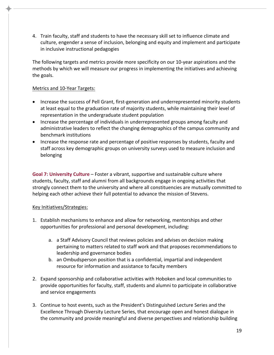4. Train faculty, staff and students to have the necessary skill set to influence climate and culture, engender a sense of inclusion, belonging and equity and implement and participate in inclusive instructional pedagogies

The following targets and metrics provide more specificity on our 10-year aspirations and the methods by which we will measure our progress in implementing the initiatives and achieving the goals.

#### Metrics and 10-Year Targets:

- Increase the success of Pell Grant, first-generation and underrepresented minority students at least equal to the graduation rate of majority students, while maintaining their level of representation in the undergraduate student population
- Increase the percentage of individuals in underrepresented groups among faculty and administrative leaders to reflect the changing demographics of the campus community and benchmark institutions
- Increase the response rate and percentage of positive responses by students, faculty and staff across key demographic groups on university surveys used to measure inclusion and belonging

**Goal 7: University Culture** – Foster a vibrant, supportive and sustainable culture where students, faculty, staff and alumni from all backgrounds engage in ongoing activities that strongly connect them to the university and where all constituencies are mutually committed to helping each other achieve their full potential to advance the mission of Stevens.

## Key Initiatives/Strategies:

- 1. Establish mechanisms to enhance and allow for networking, mentorships and other opportunities for professional and personal development, including:
	- a. a Staff Advisory Council that reviews policies and advises on decision making pertaining to matters related to staff work and that proposes recommendations to leadership and governance bodies
	- b. an Ombudsperson position that is a confidential, impartial and independent resource for information and assistance to faculty members
- 2. Expand sponsorship and collaborative activities with Hoboken and local communities to provide opportunities for faculty, staff, students and alumni to participate in collaborative and service engagements
- 3. Continue to host events, such as the President's Distinguished Lecture Series and the Excellence Through Diversity Lecture Series, that encourage open and honest dialogue in the community and provide meaningful and diverse perspectives and relationship building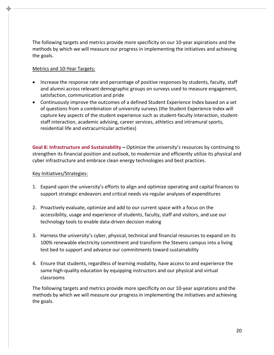The following targets and metrics provide more specificity on our 10-year aspirations and the methods by which we will measure our progress in implementing the initiatives and achieving the goals.

#### Metrics and 10-Year Targets:

- Increase the response rate and percentage of positive responses by students, faculty, staff and alumni across relevant demographic groups on surveys used to measure engagement, satisfaction, communication and pride
- Continuously improve the outcomes of a defined Student Experience Index based on a set of questions from a combination of university surveys (the Student Experience Index will capture key aspects of the student experience such as student-faculty interaction, studentstaff interaction, academic advising, career services, athletics and intramural sports, residential life and extracurricular activities)

**Goal 8: Infrastructure and Sustainability –** Optimize the university's resources by continuing to strengthen its financial position and outlook, to modernize and efficiently utilize its physical and cyber infrastructure and embrace clean energy technologies and best practices.

#### Key Initiatives/Strategies:

- 1. Expand upon the university's efforts to align and optimize operating and capital finances to support strategic endeavors and critical needs via regular analyses of expenditures
- 2. Proactively evaluate, optimize and add to our current space with a focus on the accessibility, usage and experience of students, faculty, staff and visitors, and use our technology tools to enable data-driven decision making
- 3. Harness the university's cyber, physical, technical and financial resources to expand on its 100% renewable electricity commitment and transform the Stevens campus into a living test bed to support and advance our commitments toward sustainability
- 4. Ensure that students, regardless of learning modality, have access to and experience the same high-quality education by equipping instructors and our physical and virtual classrooms

The following targets and metrics provide more specificity on our 10-year aspirations and the methods by which we will measure our progress in implementing the initiatives and achieving the goals.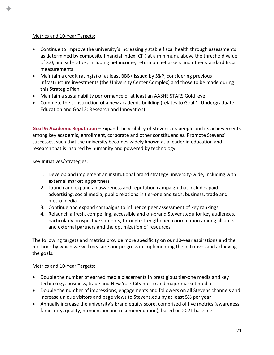## Metrics and 10-Year Targets:

- Continue to improve the university's increasingly stable fiscal health through assessments as determined by composite financial index (CFI) at a minimum, above the threshold value of 3.0, and sub-ratios, including net income, return on net assets and other standard fiscal measurements
- Maintain a credit rating(s) of at least BBB+ issued by S&P, considering previous infrastructure investments (the University Center Complex) and those to be made during this Strategic Plan
- Maintain a sustainability performance of at least an AASHE STARS Gold level
- Complete the construction of a new academic building (relates to Goal 1: Undergraduate Education and Goal 3: Research and Innovation)

**Goal 9: Academic Reputation –** Expand the visibility of Stevens, its people and its achievements among key academic, enrollment, corporate and other constituencies. Promote Stevens' successes, such that the university becomes widely known as a leader in education and research that is inspired by humanity and powered by technology.

## Key Initiatives/Strategies:

- 1. Develop and implement an institutional brand strategy university-wide, including with external marketing partners
- 2. Launch and expand an awareness and reputation campaign that includes paid advertising, social media, public relations in tier-one and tech, business, trade and metro media
- 3. Continue and expand campaigns to influence peer assessment of key rankings
- 4. Relaunch a fresh, compelling, accessible and on-brand Stevens.edu for key audiences, particularly prospective students, through strengthened coordination among all units and external partners and the optimization of resources

The following targets and metrics provide more specificity on our 10-year aspirations and the methods by which we will measure our progress in implementing the initiatives and achieving the goals.

## Metrics and 10-Year Targets:

- Double the number of earned media placements in prestigious tier-one media and key technology, business, trade and New York City metro and major market media
- Double the number of impressions, engagements and followers on all Stevens channels and increase unique visitors and page views to Stevens.edu by at least 5% per year
- Annually increase the university's brand equity score, comprised of five metrics (awareness, familiarity, quality, momentum and recommendation), based on 2021 baseline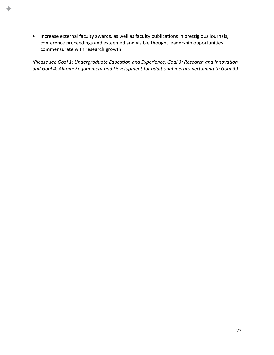• Increase external faculty awards, as well as faculty publications in prestigious journals, conference proceedings and esteemed and visible thought leadership opportunities commensurate with research growth

*(Please see Goal 1: Undergraduate Education and Experience, Goal 3: Research and Innovation and Goal 4: Alumni Engagement and Development for additional metrics pertaining to Goal 9.)*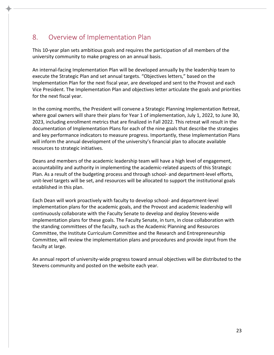# <span id="page-23-0"></span>8. Overview of Implementation Plan

This 10-year plan sets ambitious goals and requires the participation of all members of the university community to make progress on an annual basis.

An internal-facing Implementation Plan will be developed annually by the leadership team to execute the Strategic Plan and set annual targets. "Objectives letters," based on the Implementation Plan for the next fiscal year, are developed and sent to the Provost and each Vice President. The Implementation Plan and objectives letter articulate the goals and priorities for the next fiscal year.

In the coming months, the President will convene a Strategic Planning Implementation Retreat, where goal owners will share their plans for Year 1 of implementation, July 1, 2022, to June 30, 2023, including enrollment metrics that are finalized in Fall 2022. This retreat will result in the documentation of Implementation Plans for each of the nine goals that describe the strategies and key performance indicators to measure progress. Importantly, these Implementation Plans will inform the annual development of the university's financial plan to allocate available resources to strategic initiatives.

Deans and members of the academic leadership team will have a high level of engagement, accountability and authority in implementing the academic-related aspects of this Strategic Plan. As a result of the budgeting process and through school- and department-level efforts, unit-level targets will be set, and resources will be allocated to support the institutional goals established in this plan.

Each Dean will work proactively with faculty to develop school- and department-level implementation plans for the academic goals, and the Provost and academic leadership will continuously collaborate with the Faculty Senate to develop and deploy Stevens-wide implementation plans for these goals. The Faculty Senate, in turn, in close collaboration with the standing committees of the faculty, such as the Academic Planning and Resources Committee, the Institute Curriculum Committee and the Research and Entrepreneurship Committee, will review the implementation plans and procedures and provide input from the faculty at large.

An annual report of university-wide progress toward annual objectives will be distributed to the Stevens community and posted on the website each year.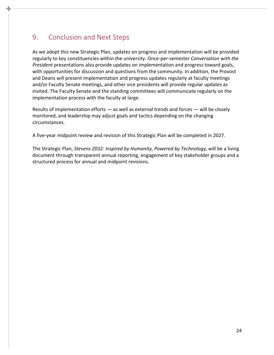# <span id="page-24-0"></span>9. Conclusion and Next Steps

As we adopt this new Strategic Plan, updates on progress and implementation will be provided regularly to key constituencies within the university. Once-per-semester *Conversation with the President* presentations also provide updates on implementation and progress toward goals, with opportunities for discussion and questions from the community. In addition, the Provost and Deans will present implementation and progress updates regularly at faculty meetings and/or Faculty Senate meetings, and other vice presidents will provide regular updates as invited. The Faculty Senate and the standing committees will communicate regularly on the implementation process with the faculty at large.

Results of implementation efforts — as well as external trends and forces — will be closely monitored, and leadership may adjust goals and tactics depending on the changing circumstances.

A five-year midpoint review and revision of this Strategic Plan will be completed in 2027.

The Strategic Plan, *Stevens 2032: Inspired by Humanity, Powered by Technology,* will be a living document through transparent annual reporting, engagement of key stakeholder groups and a structured process for annual and midpoint revisions.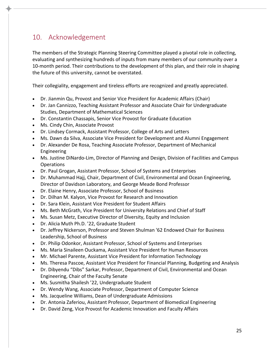# <span id="page-25-0"></span>10. Acknowledgement

The members of the Strategic Planning Steering Committee played a pivotal role in collecting, evaluating and synthesizing hundreds of inputs from many members of our community over a 10-month period. Their contributions to the development of this plan, and their role in shaping the future of this university, cannot be overstated.

Their collegiality, engagement and tireless efforts are recognized and greatly appreciated.

- Dr. Jianmin Qu, Provost and Senior Vice President for Academic Affairs (Chair)
- Dr. Jan Cannizzo, Teaching Assistant Professor and Associate Chair for Undergraduate Studies, Department of Mathematical Sciences
- Dr. Constantin Chassapis, Senior Vice Provost for Graduate Education
- Ms. Cindy Chin, Associate Provost
- Dr. Lindsey Cormack, Assistant Professor, College of Arts and Letters
- Ms. Dawn da Silva, Associate Vice President for Development and Alumni Engagement
- Dr. Alexander De Rosa, Teaching Associate Professor, Department of Mechanical Engineering
- Ms. Justine DiNardo-Lim, Director of Planning and Design, Division of Facilities and Campus Operations
- Dr. Paul Grogan, Assistant Professor, School of Systems and Enterprises
- Dr. Muhammad Hajj, Chair, Department of Civil, Environmental and Ocean Engineering, Director of Davidson Laboratory, and George Meade Bond Professor
- Dr. Elaine Henry, Associate Professor, School of Business
- Dr. Dilhan M. Kalyon, Vice Provost for Research and Innovation
- Dr. Sara Klein, Assistant Vice President for Student Affairs
- Ms. Beth McGrath, Vice President for University Relations and Chief of Staff
- Ms. Susan Metz, Executive Director of Diversity, Equity and Inclusion
- Dr. Alicia Muth Ph.D. '22, Graduate Student
- Dr. Jeffrey Nickerson, Professor and Steven Shulman '62 Endowed Chair for Business Leadership, School of Business
- Dr. Philip Odonkor, Assistant Professor, School of Systems and Enterprises
- Ms. Maria Sinaileen Ouckama, Assistant Vice President for Human Resources
- Mr. Michael Parente, Assistant Vice President for Information Technology
- Ms. Theresa Pascoe, Assistant Vice President for Financial Planning, Budgeting and Analysis
- Dr. Dibyendu "Dibs" Sarkar, Professor, Department of Civil, Environmental and Ocean Engineering, Chair of the Faculty Senate
- Ms. Susmitha Shailesh '22, Undergraduate Student
- Dr. Wendy Wang, Associate Professor, Department of Computer Science
- Ms. Jacqueline Williams, Dean of Undergraduate Admissions
- Dr. Antonia Zaferiou, Assistant Professor, Department of Biomedical Engineering
- Dr. David Zeng, Vice Provost for Academic Innovation and Faculty Affairs